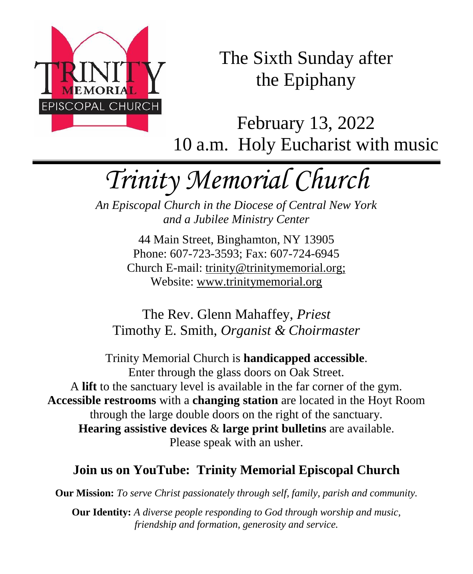

The Sixth Sunday after the Epiphany

February 13, 2022 10 a.m. Holy Eucharist with music

# *Trinity Memorial Church*

*An Episcopal Church in the Diocese of Central New York and a Jubilee Ministry Center*

> 44 Main Street, Binghamton, NY 13905 Phone: 607-723-3593; Fax: 607-724-6945 Church E-mail: trinity@trinitymemorial.org; Website: www.trinitymemorial.org

The Rev. Glenn Mahaffey, *Priest* Timothy E. Smith, *Organist & Choirmaster* 

Trinity Memorial Church is **handicapped accessible**. Enter through the glass doors on Oak Street. A **lift** to the sanctuary level is available in the far corner of the gym. **Accessible restrooms** with a **changing station** are located in the Hoyt Room through the large double doors on the right of the sanctuary. **Hearing assistive devices** & **large print bulletins** are available. Please speak with an usher.

# **Join us on YouTube: Trinity Memorial Episcopal Church**

**Our Mission:** *To serve Christ passionately through self, family, parish and community.*

**Our Identity:** *A diverse people responding to God through worship and music, friendship and formation, generosity and service.*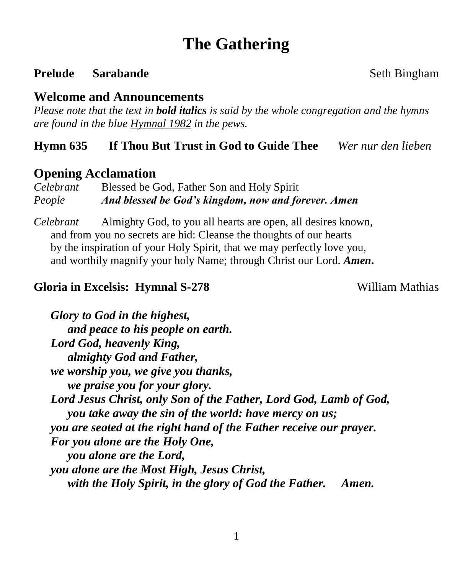# **The Gathering**

#### **Prelude Sarabande** Seth Bingham

#### **Welcome and Announcements**

*Please note that the text in bold italics is said by the whole congregation and the hymns are found in the blue Hymnal 1982 in the pews.*

#### **Hymn 635 If Thou But Trust in God to Guide Thee** *Wer nur den lieben*

#### **Opening Acclamation**

*Celebrant* Blessed be God, Father Son and Holy Spirit *People And blessed be God's kingdom, now and forever. Amen*

*Celebrant* Almighty God, to you all hearts are open, all desires known, and from you no secrets are hid: Cleanse the thoughts of our hearts by the inspiration of your Holy Spirit, that we may perfectly love you, and worthily magnify your holy Name; through Christ our Lord. *Amen***.**

#### **Gloria in Excelsis: Hymnal S-278** William Mathias

*Glory to God in the highest, and peace to his people on earth. Lord God, heavenly King, almighty God and Father, we worship you, we give you thanks, we praise you for your glory. Lord Jesus Christ, only Son of the Father, Lord God, Lamb of God, you take away the sin of the world: have mercy on us; you are seated at the right hand of the Father receive our prayer. For you alone are the Holy One, you alone are the Lord, you alone are the Most High, Jesus Christ, with the Holy Spirit, in the glory of God the Father. Amen.*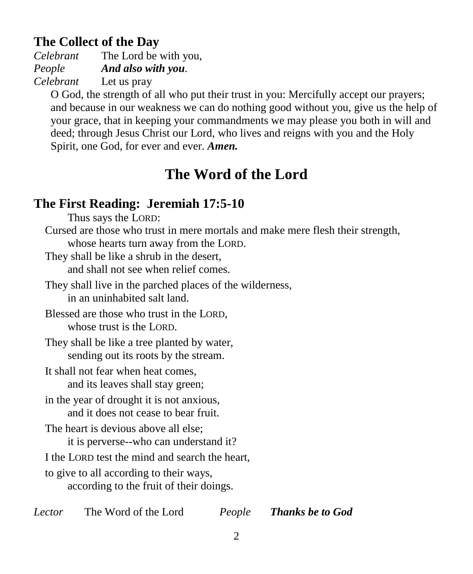# **The Collect of the Day**

*Celebrant* The Lord be with you, *People And also with you. Celebrant* Let us pray

O God, the strength of all who put their trust in you: Mercifully accept our prayers; and because in our weakness we can do nothing good without you, give us the help of your grace, that in keeping your commandments we may please you both in will and deed; through Jesus Christ our Lord, who lives and reigns with you and the Holy Spirit, one God, for ever and ever. *Amen.*

# **The Word of the Lord**

# **The First Reading: Jeremiah 17:5-10**

Thus says the LORD:

Cursed are those who trust in mere mortals and make mere flesh their strength, whose hearts turn away from the LORD.

They shall be like a shrub in the desert, and shall not see when relief comes.

They shall live in the parched places of the wilderness, in an uninhabited salt land.

Blessed are those who trust in the LORD, whose trust is the LORD.

They shall be like a tree planted by water, sending out its roots by the stream.

It shall not fear when heat comes, and its leaves shall stay green;

in the year of drought it is not anxious, and it does not cease to bear fruit.

The heart is devious above all else;

it is perverse--who can understand it?

I the LORD test the mind and search the heart,

to give to all according to their ways, according to the fruit of their doings.

*Lector* The Word of the Lord *People Thanks be to God*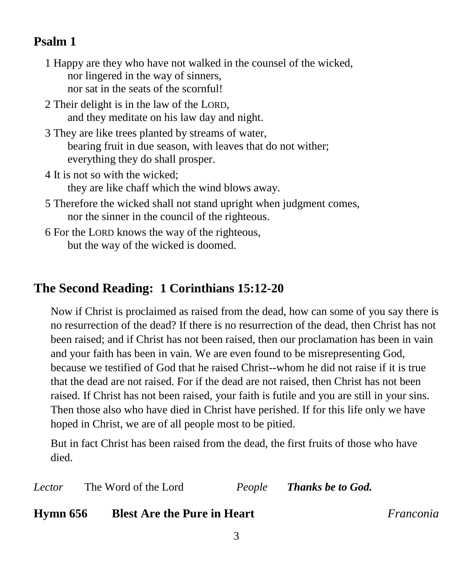#### **Psalm 1**

- 1 Happy are they who have not walked in the counsel of the wicked, nor lingered in the way of sinners, nor sat in the seats of the scornful!
- 2 Their delight is in the law of the LORD, and they meditate on his law day and night.
- 3 They are like trees planted by streams of water, bearing fruit in due season, with leaves that do not wither; everything they do shall prosper.
- 4 It is not so with the wicked; they are like chaff which the wind blows away.
- 5 Therefore the wicked shall not stand upright when judgment comes, nor the sinner in the council of the righteous.
- 6 For the LORD knows the way of the righteous, but the way of the wicked is doomed.

# **The Second Reading: 1 Corinthians 15:12-20**

Now if Christ is proclaimed as raised from the dead, how can some of you say there is no resurrection of the dead? If there is no resurrection of the dead, then Christ has not been raised; and if Christ has not been raised, then our proclamation has been in vain and your faith has been in vain. We are even found to be misrepresenting God, because we testified of God that he raised Christ--whom he did not raise if it is true that the dead are not raised. For if the dead are not raised, then Christ has not been raised. If Christ has not been raised, your faith is futile and you are still in your sins. Then those also who have died in Christ have perished. If for this life only we have hoped in Christ, we are of all people most to be pitied.

But in fact Christ has been raised from the dead, the first fruits of those who have died.

*Lector* The Word of the Lord *People Thanks be to God.*

### **Hymn 656 Blest Are the Pure in Heart** *Franconia*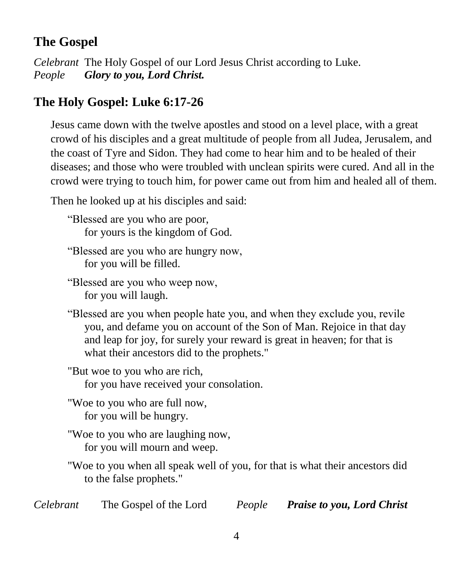# **The Gospel**

*Celebrant* The Holy Gospel of our Lord Jesus Christ according to Luke. *People Glory to you, Lord Christ.*

# **The Holy Gospel: Luke 6:17-26**

Jesus came down with the twelve apostles and stood on a level place, with a great crowd of his disciples and a great multitude of people from all Judea, Jerusalem, and the coast of Tyre and Sidon. They had come to hear him and to be healed of their diseases; and those who were troubled with unclean spirits were cured. And all in the crowd were trying to touch him, for power came out from him and healed all of them.

Then he looked up at his disciples and said:

"Blessed are you who are poor, for yours is the kingdom of God.

"Blessed are you who are hungry now, for you will be filled.

"Blessed are you who weep now, for you will laugh.

"Blessed are you when people hate you, and when they exclude you, revile you, and defame you on account of the Son of Man. Rejoice in that day and leap for joy, for surely your reward is great in heaven; for that is what their ancestors did to the prophets."

"But woe to you who are rich, for you have received your consolation.

"Woe to you who are full now, for you will be hungry.

"Woe to you who are laughing now, for you will mourn and weep.

"Woe to you when all speak well of you, for that is what their ancestors did to the false prophets."

| Celebrant | The Gospel of the Lord | People | <b>Praise to you, Lord Christ</b> |
|-----------|------------------------|--------|-----------------------------------|
|           |                        |        |                                   |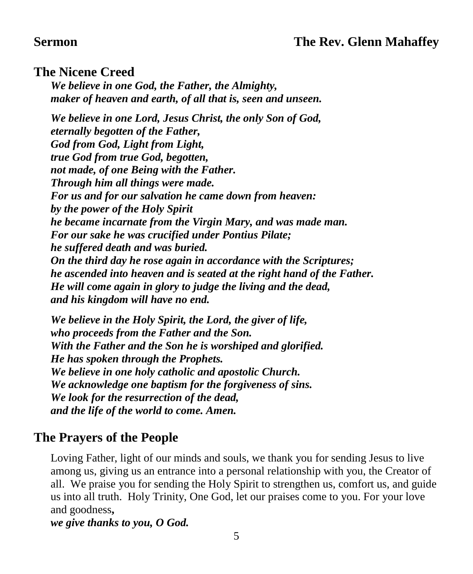#### **Sermon The Rev. Glenn Mahaffey**

#### **The Nicene Creed**

*We believe in one God, the Father, the Almighty, maker of heaven and earth, of all that is, seen and unseen.*

*We believe in one Lord, Jesus Christ, the only Son of God, eternally begotten of the Father, God from God, Light from Light, true God from true God, begotten, not made, of one Being with the Father. Through him all things were made. For us and for our salvation he came down from heaven: by the power of the Holy Spirit he became incarnate from the Virgin Mary, and was made man. For our sake he was crucified under Pontius Pilate; he suffered death and was buried. On the third day he rose again in accordance with the Scriptures; he ascended into heaven and is seated at the right hand of the Father. He will come again in glory to judge the living and the dead, and his kingdom will have no end.*

*We believe in the Holy Spirit, the Lord, the giver of life, who proceeds from the Father and the Son. With the Father and the Son he is worshiped and glorified. He has spoken through the Prophets. We believe in one holy catholic and apostolic Church. We acknowledge one baptism for the forgiveness of sins. We look for the resurrection of the dead, and the life of the world to come. Amen.*

#### **The Prayers of the People**

Loving Father, light of our minds and souls, we thank you for sending Jesus to live among us, giving us an entrance into a personal relationship with you, the Creator of all. We praise you for sending the Holy Spirit to strengthen us, comfort us, and guide us into all truth. Holy Trinity, One God, let our praises come to you. For your love and goodness**,**

*we give thanks to you, O God.*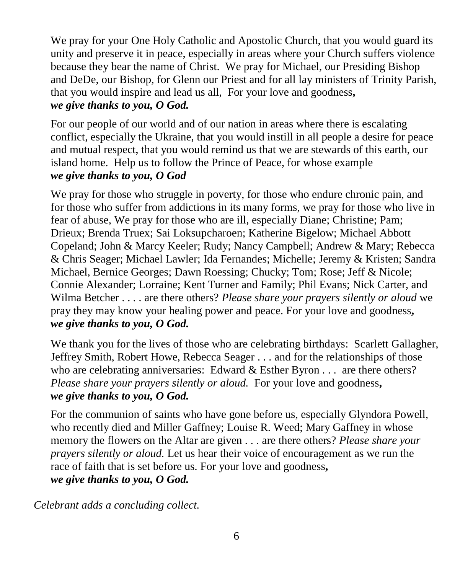We pray for your One Holy Catholic and Apostolic Church, that you would guard its unity and preserve it in peace, especially in areas where your Church suffers violence because they bear the name of Christ. We pray for Michael, our Presiding Bishop and DeDe, our Bishop, for Glenn our Priest and for all lay ministers of Trinity Parish, that you would inspire and lead us all, For your love and goodness**,** *we give thanks to you, O God.*

For our people of our world and of our nation in areas where there is escalating conflict, especially the Ukraine, that you would instill in all people a desire for peace and mutual respect, that you would remind us that we are stewards of this earth, our island home. Help us to follow the Prince of Peace, for whose example *we give thanks to you, O God*

We pray for those who struggle in poverty, for those who endure chronic pain, and for those who suffer from addictions in its many forms, we pray for those who live in fear of abuse, We pray for those who are ill, especially Diane; Christine; Pam; Drieux; Brenda Truex; Sai Loksupcharoen; Katherine Bigelow; Michael Abbott Copeland; John & Marcy Keeler; Rudy; Nancy Campbell; Andrew & Mary; Rebecca & Chris Seager; Michael Lawler; Ida Fernandes; Michelle; Jeremy & Kristen; Sandra Michael, Bernice Georges; Dawn Roessing; Chucky; Tom; Rose; Jeff & Nicole; Connie Alexander; Lorraine; Kent Turner and Family; Phil Evans; Nick Carter, and Wilma Betcher . . . . are there others? *Please share your prayers silently or aloud* we pray they may know your healing power and peace. For your love and goodness**,** *we give thanks to you, O God.*

We thank you for the lives of those who are celebrating birthdays: Scarlett Gallagher, Jeffrey Smith, Robert Howe, Rebecca Seager . . . and for the relationships of those who are celebrating anniversaries: Edward  $&$  Esther Byron  $\dots$  are there others? *Please share your prayers silently or aloud.* For your love and goodness**,** *we give thanks to you, O God.*

For the communion of saints who have gone before us, especially Glyndora Powell, who recently died and Miller Gaffney; Louise R. Weed; Mary Gaffney in whose memory the flowers on the Altar are given . . . are there others? *Please share your prayers silently or aloud.* Let us hear their voice of encouragement as we run the race of faith that is set before us. For your love and goodness**,** *we give thanks to you, O God.*

*Celebrant adds a concluding collect.*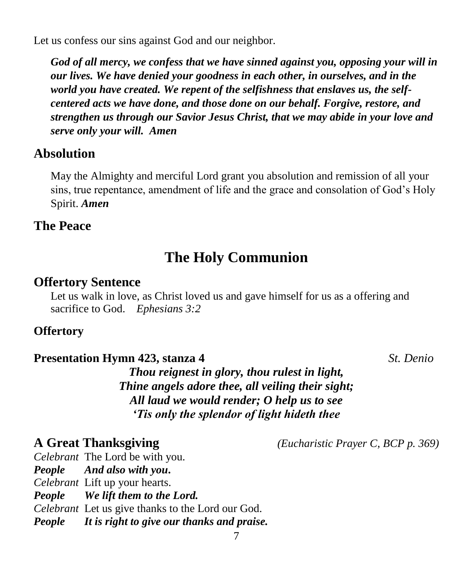Let us confess our sins against God and our neighbor.

*God of all mercy, we confess that we have sinned against you, opposing your will in our lives. We have denied your goodness in each other, in ourselves, and in the world you have created. We repent of the selfishness that enslaves us, the selfcentered acts we have done, and those done on our behalf. Forgive, restore, and strengthen us through our Savior Jesus Christ, that we may abide in your love and serve only your will. Amen*

#### **Absolution**

May the Almighty and merciful Lord grant you absolution and remission of all your sins, true repentance, amendment of life and the grace and consolation of God's Holy Spirit. *Amen*

#### **The Peace**

# **The Holy Communion**

#### **Offertory Sentence**

Let us walk in love, as Christ loved us and gave himself for us as a offering and sacrifice to God. *Ephesians 3:2*

#### **Offertory**

#### **Presentation Hymn 423, stanza 4** *St. Denio*

*Thou reignest in glory, thou rulest in light, Thine angels adore thee, all veiling their sight; All laud we would render; O help us to see 'Tis only the splendor of light hideth thee*

**A Great Thanksgiving** *(Eucharistic Prayer C, BCP p. 369)*

*Celebrant* The Lord be with you. *People And also with you***.** *Celebrant* Lift up your hearts. *People We lift them to the Lord. Celebrant* Let us give thanks to the Lord our God. *People It is right to give our thanks and praise.*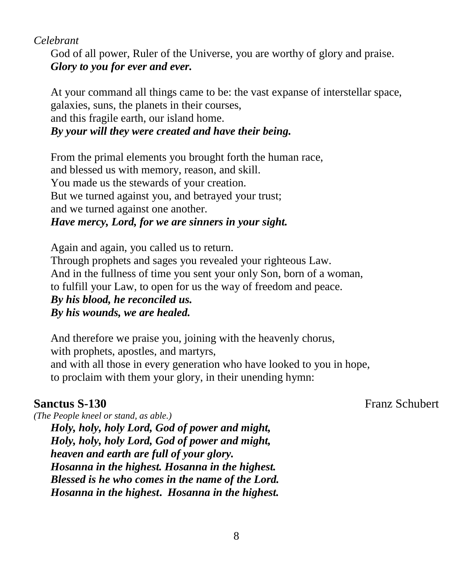#### *Celebrant*

God of all power, Ruler of the Universe, you are worthy of glory and praise. *Glory to you for ever and ever.*

At your command all things came to be: the vast expanse of interstellar space, galaxies, suns, the planets in their courses,

and this fragile earth, our island home.

#### *By your will they were created and have their being.*

From the primal elements you brought forth the human race, and blessed us with memory, reason, and skill. You made us the stewards of your creation. But we turned against you, and betrayed your trust; and we turned against one another. *Have mercy, Lord, for we are sinners in your sight.*

Again and again, you called us to return. Through prophets and sages you revealed your righteous Law. And in the fullness of time you sent your only Son, born of a woman, to fulfill your Law, to open for us the way of freedom and peace. *By his blood, he reconciled us. By his wounds, we are healed.*

And therefore we praise you, joining with the heavenly chorus, with prophets, apostles, and martyrs, and with all those in every generation who have looked to you in hope, to proclaim with them your glory, in their unending hymn:

**Sanctus S-130** Franz Schubert

*(The People kneel or stand, as able.) Holy, holy, holy Lord, God of power and might, Holy, holy, holy Lord, God of power and might, heaven and earth are full of your glory. Hosanna in the highest. Hosanna in the highest. Blessed is he who comes in the name of the Lord. Hosanna in the highest***.** *Hosanna in the highest.*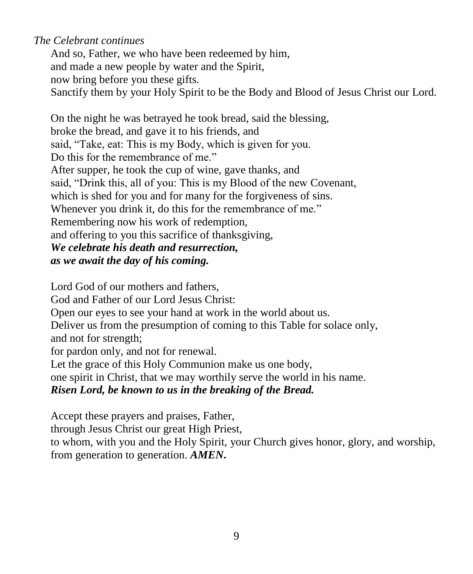#### *The Celebrant continues*

And so, Father, we who have been redeemed by him, and made a new people by water and the Spirit, now bring before you these gifts. Sanctify them by your Holy Spirit to be the Body and Blood of Jesus Christ our Lord.

On the night he was betrayed he took bread, said the blessing, broke the bread, and gave it to his friends, and said, "Take, eat: This is my Body, which is given for you. Do this for the remembrance of me." After supper, he took the cup of wine, gave thanks, and said, "Drink this, all of you: This is my Blood of the new Covenant, which is shed for you and for many for the forgiveness of sins. Whenever you drink it, do this for the remembrance of me." Remembering now his work of redemption, and offering to you this sacrifice of thanksgiving, *We celebrate his death and resurrection, as we await the day of his coming.*

Lord God of our mothers and fathers, God and Father of our Lord Jesus Christ: Open our eyes to see your hand at work in the world about us. Deliver us from the presumption of coming to this Table for solace only, and not for strength; for pardon only, and not for renewal. Let the grace of this Holy Communion make us one body, one spirit in Christ, that we may worthily serve the world in his name. *Risen Lord, be known to us in the breaking of the Bread.*

Accept these prayers and praises, Father, through Jesus Christ our great High Priest, to whom, with you and the Holy Spirit, your Church gives honor, glory, and worship, from generation to generation. *AMEN***.**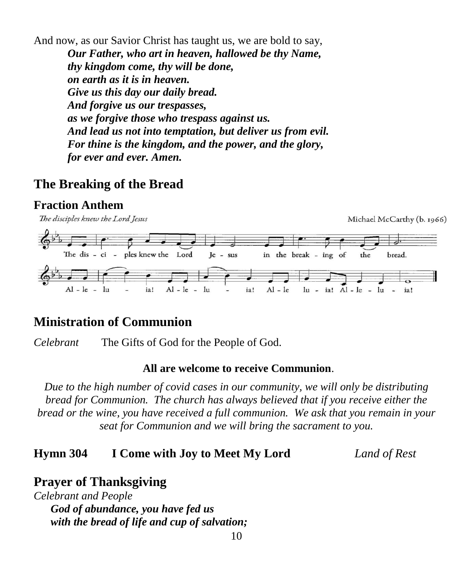And now, as our Savior Christ has taught us, we are bold to say,

*Our Father, who art in heaven, hallowed be thy Name, thy kingdom come, thy will be done, on earth as it is in heaven. Give us this day our daily bread. And forgive us our trespasses, as we forgive those who trespass against us. And lead us not into temptation, but deliver us from evil. For thine is the kingdom, and the power, and the glory, for ever and ever. Amen.*

#### **The Breaking of the Bread**

#### **Fraction Anthem**



### **Ministration of Communion**

*Celebrant* The Gifts of God for the People of God.

#### **All are welcome to receive Communion**.

*Due to the high number of covid cases in our community, we will only be distributing bread for Communion. The church has always believed that if you receive either the bread or the wine, you have received a full communion. We ask that you remain in your seat for Communion and we will bring the sacrament to you.*

#### **Hymn 304 I Come with Joy to Meet My Lord** *Land of Rest*

### **Prayer of Thanksgiving**

*Celebrant and People God of abundance, you have fed us with the bread of life and cup of salvation;*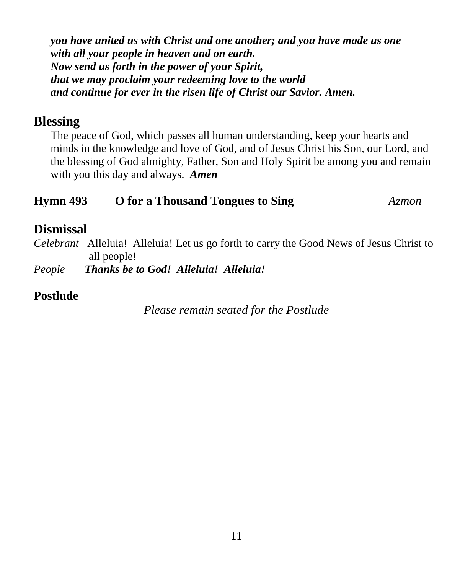*you have united us with Christ and one another; and you have made us one with all your people in heaven and on earth. Now send us forth in the power of your Spirit, that we may proclaim your redeeming love to the world and continue for ever in the risen life of Christ our Savior. Amen.*

#### **Blessing**

The peace of God, which passes all human understanding, keep your hearts and minds in the knowledge and love of God, and of Jesus Christ his Son, our Lord, and the blessing of God almighty, Father, Son and Holy Spirit be among you and remain with you this day and always. *Amen*

#### **Hymn 493 O for a Thousand Tongues to Sing** *Azmon*

#### **Dismissal**

*Celebrant* Alleluia! Alleluia! Let us go forth to carry the Good News of Jesus Christ to all people!

*People Thanks be to God! Alleluia! Alleluia!*

#### **Postlude**

*Please remain seated for the Postlude*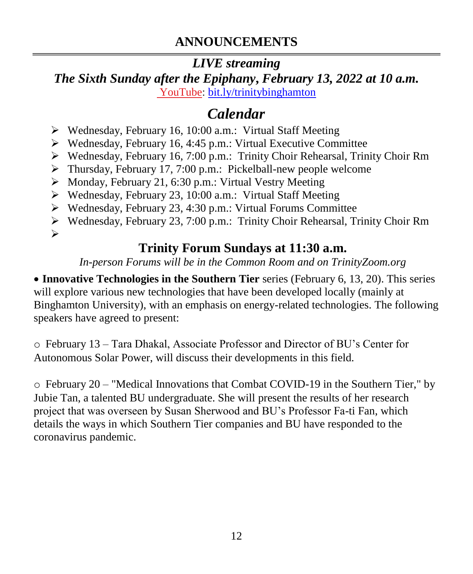# **ANNOUNCEMENTS**

#### *LIVE streaming The Sixth Sunday after the Epiphany***,** *February 13, 2022 at 10 a.m.* [YouTube:](https://bit.ly/trinitybinghamton) [bit.ly/trinitybinghamton](https://bit.ly/trinitybinghamton)

# *Calendar*

- ➢ Wednesday, February 16, 10:00 a.m.: Virtual Staff Meeting
- ➢ Wednesday, February 16, 4:45 p.m.: Virtual Executive Committee
- ➢ Wednesday, February 16, 7:00 p.m.: Trinity Choir Rehearsal, Trinity Choir Rm
- ➢ Thursday, February 17, 7:00 p.m.: Pickelball-new people welcome
- ➢ Monday, February 21, 6:30 p.m.: Virtual Vestry Meeting
- ➢ Wednesday, February 23, 10:00 a.m.: Virtual Staff Meeting
- ➢ Wednesday, February 23, 4:30 p.m.: Virtual Forums Committee
- ➢ Wednesday, February 23, 7:00 p.m.: Trinity Choir Rehearsal, Trinity Choir Rm ➢

# **Trinity Forum Sundays at 11:30 a.m.**

*In-person Forums will be in the Common Room and on TrinityZoom.org*

• **Innovative Technologies in the Southern Tier** series (February 6, 13, 20). This series will explore various new technologies that have been developed locally (mainly at Binghamton University), with an emphasis on energy-related technologies. The following speakers have agreed to present:

o February 13 – Tara Dhakal, Associate Professor and Director of BU's Center for Autonomous Solar Power, will discuss their developments in this field.

o February 20 – "Medical Innovations that Combat COVID-19 in the Southern Tier," by Jubie Tan, a talented BU undergraduate. She will present the results of her research project that was overseen by Susan Sherwood and BU's Professor Fa-ti Fan, which details the ways in which Southern Tier companies and BU have responded to the coronavirus pandemic.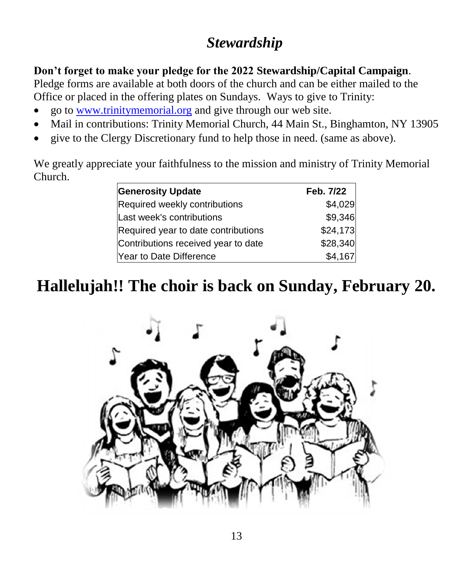# *Stewardship*

#### **Don't forget to make your pledge for the 2022 Stewardship/Capital Campaign**.

Pledge forms are available at both doors of the church and can be either mailed to the Office or placed in the offering plates on Sundays. Ways to give to Trinity:

- go to [www.trinitymemorial.org](http://www.trinitymemorial.org/) and give through our web site.
- Mail in contributions: Trinity Memorial Church, 44 Main St., Binghamton, NY 13905
- give to the Clergy Discretionary fund to help those in need. (same as above).

We greatly appreciate your faithfulness to the mission and ministry of Trinity Memorial Church.

| <b>Generosity Update</b>            | Feb. 7/22 |
|-------------------------------------|-----------|
| Required weekly contributions       | \$4,029   |
| Last week's contributions           | \$9,346   |
| Required year to date contributions | \$24,173  |
| Contributions received year to date | \$28,340  |
| Year to Date Difference             | \$4,167   |

# **Hallelujah!! The choir is back on Sunday, February 20.**

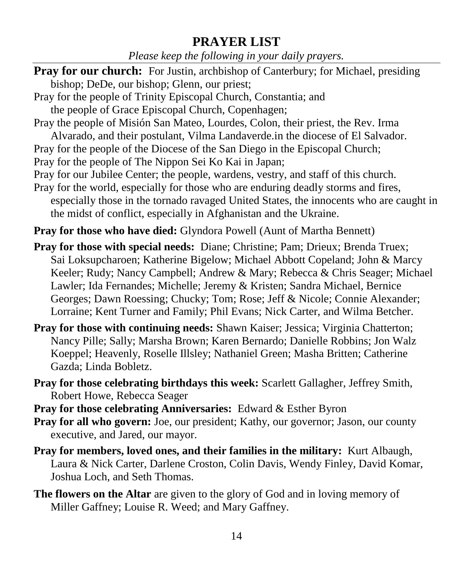### **PRAYER LIST**

*Please keep the following in your daily prayers.*

- **Pray for our church:** For Justin, archbishop of Canterbury; for Michael, presiding bishop; DeDe, our bishop; Glenn, our priest;
- Pray for the people of Trinity Episcopal Church, Constantia; and the people of Grace Episcopal Church, Copenhagen;
- Pray the people of Misión San Mateo, Lourdes, Colon, their priest, the Rev. Irma
- Alvarado, and their postulant, Vilma Landaverde.in the diocese of El Salvador.
- Pray for the people of the Diocese of the San Diego in the Episcopal Church;
- Pray for the people of The Nippon Sei Ko Kai in Japan;
- Pray for our Jubilee Center; the people, wardens, vestry, and staff of this church.
- Pray for the world, especially for those who are enduring deadly storms and fires, especially those in the tornado ravaged United States, the innocents who are caught in the midst of conflict, especially in Afghanistan and the Ukraine.

**Pray for those who have died:** Glyndora Powell (Aunt of Martha Bennett)

- **Pray for those with special needs:** Diane; Christine; Pam; Drieux; Brenda Truex; Sai Loksupcharoen; Katherine Bigelow; Michael Abbott Copeland; John & Marcy Keeler; Rudy; Nancy Campbell; Andrew & Mary; Rebecca & Chris Seager; Michael Lawler; Ida Fernandes; Michelle; Jeremy & Kristen; Sandra Michael, Bernice Georges; Dawn Roessing; Chucky; Tom; Rose; Jeff & Nicole; Connie Alexander; Lorraine; Kent Turner and Family; Phil Evans; Nick Carter, and Wilma Betcher.
- **Pray for those with continuing needs:** Shawn Kaiser; Jessica; Virginia Chatterton; Nancy Pille; Sally; Marsha Brown; Karen Bernardo; Danielle Robbins; Jon Walz Koeppel; Heavenly, Roselle Illsley; Nathaniel Green; Masha Britten; Catherine Gazda; Linda Bobletz.
- **Pray for those celebrating birthdays this week:** Scarlett Gallagher, Jeffrey Smith, Robert Howe, Rebecca Seager
- **Pray for those celebrating Anniversaries:** Edward & Esther Byron
- **Pray for all who govern:** Joe, our president; Kathy, our governor; Jason, our county executive, and Jared, our mayor.
- **Pray for members, loved ones, and their families in the military:** Kurt Albaugh, Laura & Nick Carter, Darlene Croston, Colin Davis, Wendy Finley, David Komar, Joshua Loch, and Seth Thomas.
- **The flowers on the Altar** are given to the glory of God and in loving memory of Miller Gaffney; Louise R. Weed; and Mary Gaffney.